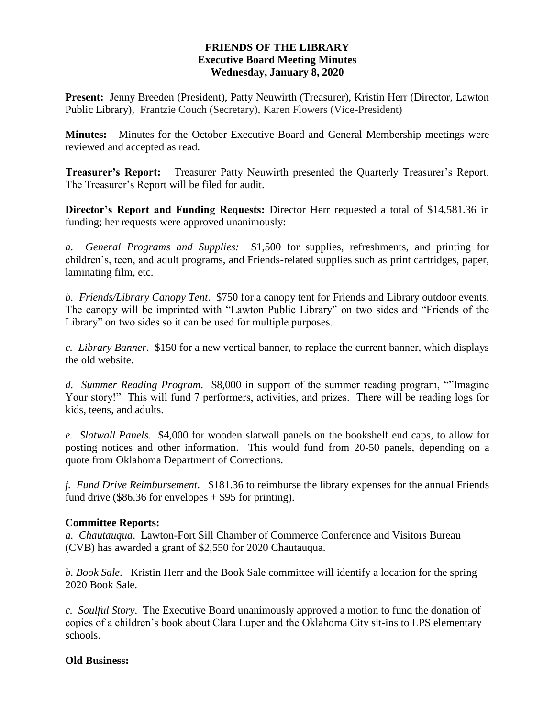# **FRIENDS OF THE LIBRARY Executive Board Meeting Minutes Wednesday, January 8, 2020**

**Present:** Jenny Breeden (President), Patty Neuwirth (Treasurer), Kristin Herr (Director, Lawton Public Library), Frantzie Couch (Secretary), Karen Flowers (Vice-President)

**Minutes:** Minutes for the October Executive Board and General Membership meetings were reviewed and accepted as read.

**Treasurer's Report:** Treasurer Patty Neuwirth presented the Quarterly Treasurer's Report. The Treasurer's Report will be filed for audit.

**Director's Report and Funding Requests:** Director Herr requested a total of \$14,581.36 in funding; her requests were approved unanimously:

*a. General Programs and Supplies:* \$1,500 for supplies, refreshments, and printing for children's, teen, and adult programs, and Friends-related supplies such as print cartridges, paper, laminating film, etc.

*b. Friends/Library Canopy Tent*. \$750 for a canopy tent for Friends and Library outdoor events. The canopy will be imprinted with "Lawton Public Library" on two sides and "Friends of the Library" on two sides so it can be used for multiple purposes.

*c. Library Banner*. \$150 for a new vertical banner, to replace the current banner, which displays the old website.

*d. Summer Reading Program*. \$8,000 in support of the summer reading program, ""Imagine Your story!" This will fund 7 performers, activities, and prizes. There will be reading logs for kids, teens, and adults.

*e. Slatwall Panels*. \$4,000 for wooden slatwall panels on the bookshelf end caps, to allow for posting notices and other information. This would fund from 20-50 panels, depending on a quote from Oklahoma Department of Corrections.

*f. Fund Drive Reimbursement*. \$181.36 to reimburse the library expenses for the annual Friends fund drive (\$86.36 for envelopes  $+$  \$95 for printing).

# **Committee Reports:**

*a. Chautauqua*. Lawton-Fort Sill Chamber of Commerce Conference and Visitors Bureau (CVB) has awarded a grant of \$2,550 for 2020 Chautauqua.

*b. Book Sale.* Kristin Herr and the Book Sale committee will identify a location for the spring 2020 Book Sale.

*c. Soulful Story*. The Executive Board unanimously approved a motion to fund the donation of copies of a children's book about Clara Luper and the Oklahoma City sit-ins to LPS elementary schools.

### **Old Business:**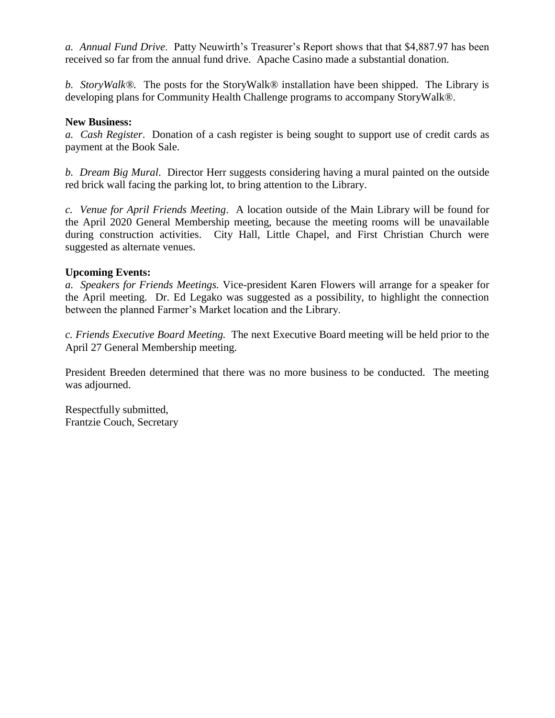*a. Annual Fund Drive*. Patty Neuwirth's Treasurer's Report shows that that \$4,887.97 has been received so far from the annual fund drive. Apache Casino made a substantial donation.

*b. StoryWalk®.* The posts for the StoryWalk® installation have been shipped. The Library is developing plans for Community Health Challenge programs to accompany StoryWalk®.

## **New Business:**

*a. Cash Register*. Donation of a cash register is being sought to support use of credit cards as payment at the Book Sale.

*b. Dream Big Mural*. Director Herr suggests considering having a mural painted on the outside red brick wall facing the parking lot, to bring attention to the Library.

*c. Venue for April Friends Meeting*. A location outside of the Main Library will be found for the April 2020 General Membership meeting, because the meeting rooms will be unavailable during construction activities. City Hall, Little Chapel, and First Christian Church were suggested as alternate venues.

### **Upcoming Events:**

*a. Speakers for Friends Meetings.* Vice-president Karen Flowers will arrange for a speaker for the April meeting. Dr. Ed Legako was suggested as a possibility, to highlight the connection between the planned Farmer's Market location and the Library.

*c. Friends Executive Board Meeting.* The next Executive Board meeting will be held prior to the April 27 General Membership meeting.

President Breeden determined that there was no more business to be conducted. The meeting was adjourned.

Respectfully submitted, Frantzie Couch, Secretary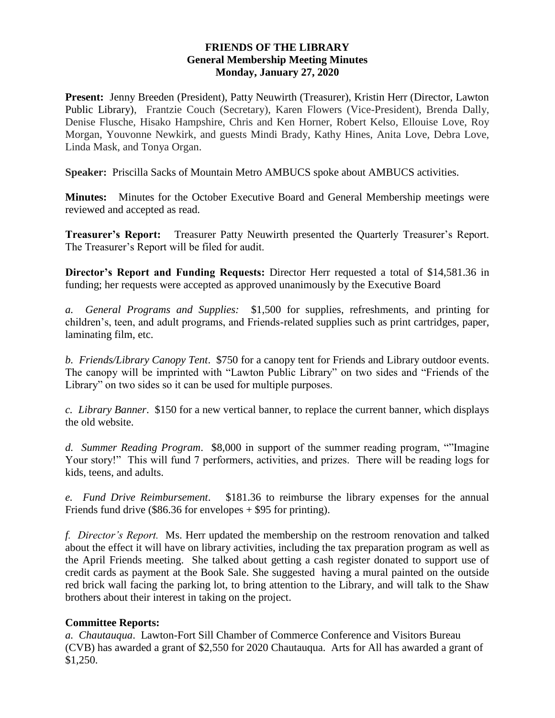## **FRIENDS OF THE LIBRARY General Membership Meeting Minutes Monday, January 27, 2020**

**Present:** Jenny Breeden (President), Patty Neuwirth (Treasurer), Kristin Herr (Director, Lawton Public Library), Frantzie Couch (Secretary), Karen Flowers (Vice-President), Brenda Dally, Denise Flusche, Hisako Hampshire, Chris and Ken Horner, Robert Kelso, Ellouise Love, Roy Morgan, Youvonne Newkirk, and guests Mindi Brady, Kathy Hines, Anita Love, Debra Love, Linda Mask, and Tonya Organ.

**Speaker:** Priscilla Sacks of Mountain Metro AMBUCS spoke about AMBUCS activities.

**Minutes:** Minutes for the October Executive Board and General Membership meetings were reviewed and accepted as read.

**Treasurer's Report:** Treasurer Patty Neuwirth presented the Quarterly Treasurer's Report. The Treasurer's Report will be filed for audit.

**Director's Report and Funding Requests:** Director Herr requested a total of \$14,581.36 in funding; her requests were accepted as approved unanimously by the Executive Board

*a. General Programs and Supplies:* \$1,500 for supplies, refreshments, and printing for children's, teen, and adult programs, and Friends-related supplies such as print cartridges, paper, laminating film, etc.

*b. Friends/Library Canopy Tent*. \$750 for a canopy tent for Friends and Library outdoor events. The canopy will be imprinted with "Lawton Public Library" on two sides and "Friends of the Library" on two sides so it can be used for multiple purposes.

*c. Library Banner*. \$150 for a new vertical banner, to replace the current banner, which displays the old website.

*d. Summer Reading Program*. \$8,000 in support of the summer reading program, ""Imagine Your story!" This will fund 7 performers, activities, and prizes. There will be reading logs for kids, teens, and adults.

*e. Fund Drive Reimbursement*. \$181.36 to reimburse the library expenses for the annual Friends fund drive (\$86.36 for envelopes + \$95 for printing).

*f. Director's Report.* Ms. Herr updated the membership on the restroom renovation and talked about the effect it will have on library activities, including the tax preparation program as well as the April Friends meeting. She talked about getting a cash register donated to support use of credit cards as payment at the Book Sale. She suggested having a mural painted on the outside red brick wall facing the parking lot, to bring attention to the Library, and will talk to the Shaw brothers about their interest in taking on the project.

# **Committee Reports:**

*a. Chautauqua*. Lawton-Fort Sill Chamber of Commerce Conference and Visitors Bureau (CVB) has awarded a grant of \$2,550 for 2020 Chautauqua. Arts for All has awarded a grant of \$1,250.